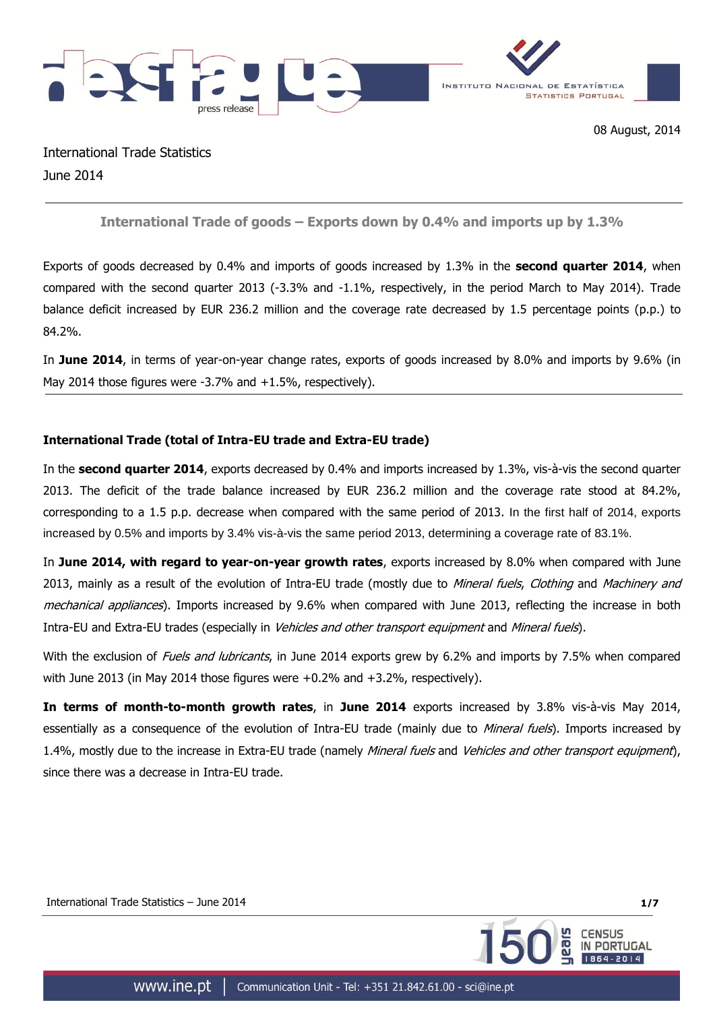



International Trade Statistics June 2014

**International Trade of goods – Exports down by 0.4% and imports up by 1.3%**

Exports of goods decreased by 0.4% and imports of goods increased by 1.3% in the **second quarter 2014**, when compared with the second quarter 2013 (-3.3% and -1.1%, respectively, in the period March to May 2014). Trade balance deficit increased by EUR 236.2 million and the coverage rate decreased by 1.5 percentage points (p.p.) to 84.2%.

In **June 2014**, in terms of year-on-year change rates, exports of goods increased by 8.0% and imports by 9.6% (in May 2014 those figures were -3.7% and +1.5%, respectively).

# **International Trade (total of Intra-EU trade and Extra-EU trade)**

In the **second quarter 2014**, exports decreased by 0.4% and imports increased by 1.3%, vis-à-vis the second quarter 2013. The deficit of the trade balance increased by EUR 236.2 million and the coverage rate stood at 84.2%, corresponding to a 1.5 p.p. decrease when compared with the same period of 2013. In the first half of 2014, exports increased by 0.5% and imports by 3.4% vis-à-vis the same period 2013, determining a coverage rate of 83.1%.

In **June 2014, with regard to year-on-year growth rates**, exports increased by 8.0% when compared with June 2013, mainly as a result of the evolution of Intra-EU trade (mostly due to Mineral fuels, Clothing and Machinery and mechanical appliances). Imports increased by 9.6% when compared with June 2013, reflecting the increase in both Intra-EU and Extra-EU trades (especially in *Vehicles and other transport equipment* and *Mineral fuels*).

With the exclusion of *Fuels and lubricants*, in June 2014 exports grew by 6.2% and imports by 7.5% when compared with June 2013 (in May 2014 those figures were +0.2% and +3.2%, respectively).

**In terms of month-to-month growth rates**, in **June 2014** exports increased by 3.8% vis-à-vis May 2014, essentially as a consequence of the evolution of Intra-EU trade (mainly due to *Mineral fuels*). Imports increased by 1.4%, mostly due to the increase in Extra-EU trade (namely *Mineral fuels* and *Vehicles and other transport equipment*), since there was a decrease in Intra-EU trade.

International Trade Statistics – June 2014 **1/7**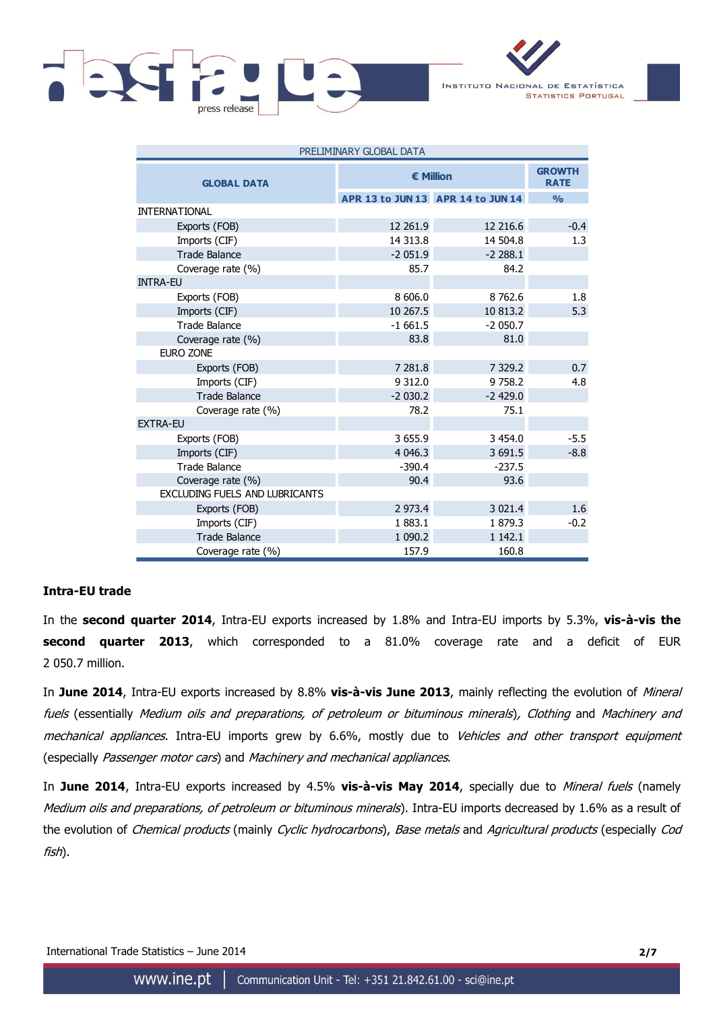



| PRELIMINARY GLOBAL DATA        |                  |                                   |               |  |  |  |
|--------------------------------|------------------|-----------------------------------|---------------|--|--|--|
| <b>GLOBAL DATA</b>             | <b>€ Million</b> | <b>GROWTH</b><br><b>RATE</b>      |               |  |  |  |
|                                |                  | APR 13 to JUN 13 APR 14 to JUN 14 | $\frac{9}{0}$ |  |  |  |
| <b>INTERNATIONAL</b>           |                  |                                   |               |  |  |  |
| Exports (FOB)                  | 12 261.9         | 12 216.6                          | $-0.4$        |  |  |  |
| Imports (CIF)                  | 14 313.8         | 14 504.8                          | 1.3           |  |  |  |
| <b>Trade Balance</b>           | $-2051.9$        | $-2288.1$                         |               |  |  |  |
| Coverage rate (%)              | 85.7             | 84.2                              |               |  |  |  |
| <b>INTRA-EU</b>                |                  |                                   |               |  |  |  |
| Exports (FOB)                  | 8 606.0          | 8 7 6 2.6                         | 1.8           |  |  |  |
| Imports (CIF)                  | 10 267.5         | 10 813.2                          | 5.3           |  |  |  |
| <b>Trade Balance</b>           | $-1661.5$        | $-2050.7$                         |               |  |  |  |
| Coverage rate (%)              | 83.8             | 81.0                              |               |  |  |  |
| EURO ZONE                      |                  |                                   |               |  |  |  |
| Exports (FOB)                  | 7 281.8          | 7 3 2 9.2                         | 0.7           |  |  |  |
| Imports (CIF)                  | 9 3 1 2.0        | 9758.2                            | 4.8           |  |  |  |
| <b>Trade Balance</b>           | $-2030.2$        | $-2429.0$                         |               |  |  |  |
| Coverage rate (%)              | 78.2             | 75.1                              |               |  |  |  |
| <b>EXTRA-EU</b>                |                  |                                   |               |  |  |  |
| Exports (FOB)                  | 3 655.9          | 3 4 5 4.0                         | $-5.5$        |  |  |  |
| Imports (CIF)                  | 4 0 4 6.3        | 3 691.5                           | $-8.8$        |  |  |  |
| <b>Trade Balance</b>           | $-390.4$         | $-237.5$                          |               |  |  |  |
| Coverage rate (%)              | 90.4             | 93.6                              |               |  |  |  |
| EXCLUDING FUELS AND LUBRICANTS |                  |                                   |               |  |  |  |
| Exports (FOB)                  | 2 973.4          | 3 0 2 1.4                         | 1.6           |  |  |  |
| Imports (CIF)                  | 1883.1           | 1879.3                            | $-0.2$        |  |  |  |
| <b>Trade Balance</b>           | 1 0 9 0.2        | 1 1 4 2 . 1                       |               |  |  |  |
| Coverage rate (%)              | 157.9            | 160.8                             |               |  |  |  |

## **Intra-EU trade**

In the **second quarter 2014**, Intra-EU exports increased by 1.8% and Intra-EU imports by 5.3%, **vis-à-vis the second quarter 2013**, which corresponded to a 81.0% coverage rate and a deficit of EUR 2 050.7 million.

In **June 2014**, Intra-EU exports increased by 8.8% **vis-à-vis June 2013**, mainly reflecting the evolution of Mineral fuels (essentially Medium oils and preparations, of petroleum or bituminous minerals), Clothing and Machinery and mechanical appliances. Intra-EU imports grew by 6.6%, mostly due to Vehicles and other transport equipment (especially Passenger motor cars) and Machinery and mechanical appliances.

In **June 2014**, Intra-EU exports increased by 4.5% **vis-à-vis May 2014**, specially due to Mineral fuels (namely Medium oils and preparations, of petroleum or bituminous minerals). Intra-EU imports decreased by 1.6% as a result of the evolution of Chemical products (mainly Cyclic hydrocarbons), Base metals and Agricultural products (especially Cod fish).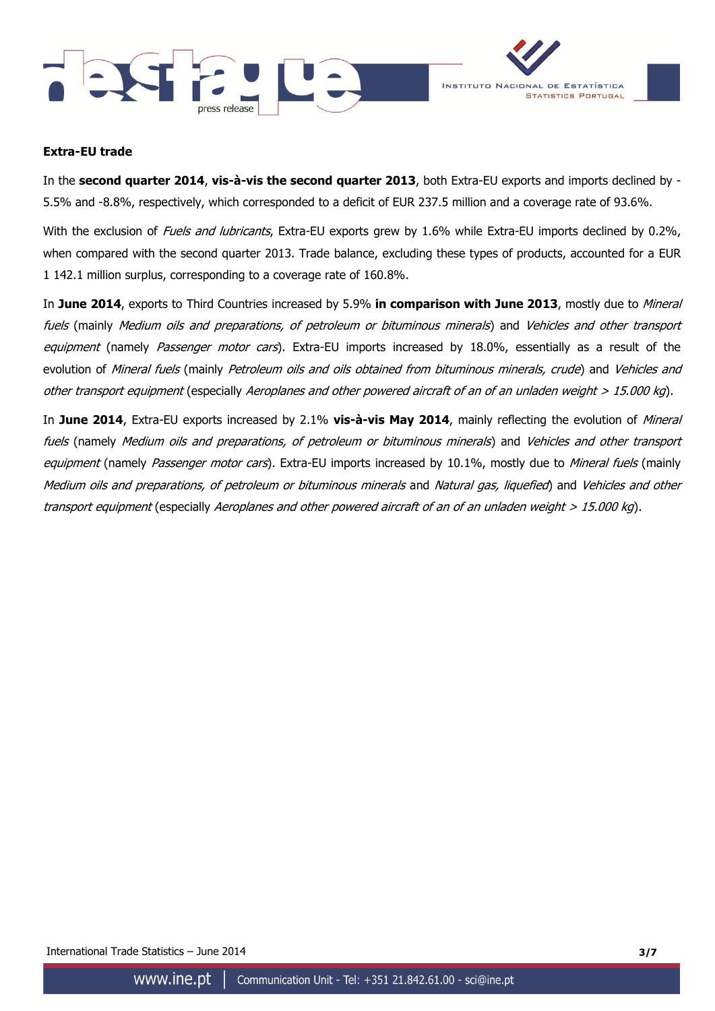



### **Extra-EU trade**

In the **second quarter 2014**, **vis-à-vis the second quarter 2013**, both Extra-EU exports and imports declined by - 5.5% and -8.8%, respectively, which corresponded to a deficit of EUR 237.5 million and a coverage rate of 93.6%.

With the exclusion of Fuels and lubricants, Extra-EU exports grew by 1.6% while Extra-EU imports declined by 0.2%, when compared with the second quarter 2013. Trade balance, excluding these types of products, accounted for a EUR 1 142.1 million surplus, corresponding to a coverage rate of 160.8%.

In **June 2014**, exports to Third Countries increased by 5.9% **in comparison with June 2013**, mostly due to Mineral fuels (mainly Medium oils and preparations, of petroleum or bituminous minerals) and Vehicles and other transport equipment (namely Passenger motor cars). Extra-EU imports increased by 18.0%, essentially as a result of the evolution of Mineral fuels (mainly Petroleum oils and oils obtained from bituminous minerals, crude) and Vehicles and other transport equipment (especially Aeroplanes and other powered aircraft of an of an unladen weight  $> 15.000$  kg).

In **June 2014**, Extra-EU exports increased by 2.1% **vis-à-vis May 2014**, mainly reflecting the evolution of Mineral fuels (namely Medium oils and preparations, of petroleum or bituminous minerals) and Vehicles and other transport equipment (namely Passenger motor cars). Extra-EU imports increased by 10.1%, mostly due to Mineral fuels (mainly Medium oils and preparations, of petroleum or bituminous minerals and Natural gas, liquefied) and Vehicles and other transport equipment (especially Aeroplanes and other powered aircraft of an of an unladen weight > 15.000 kg).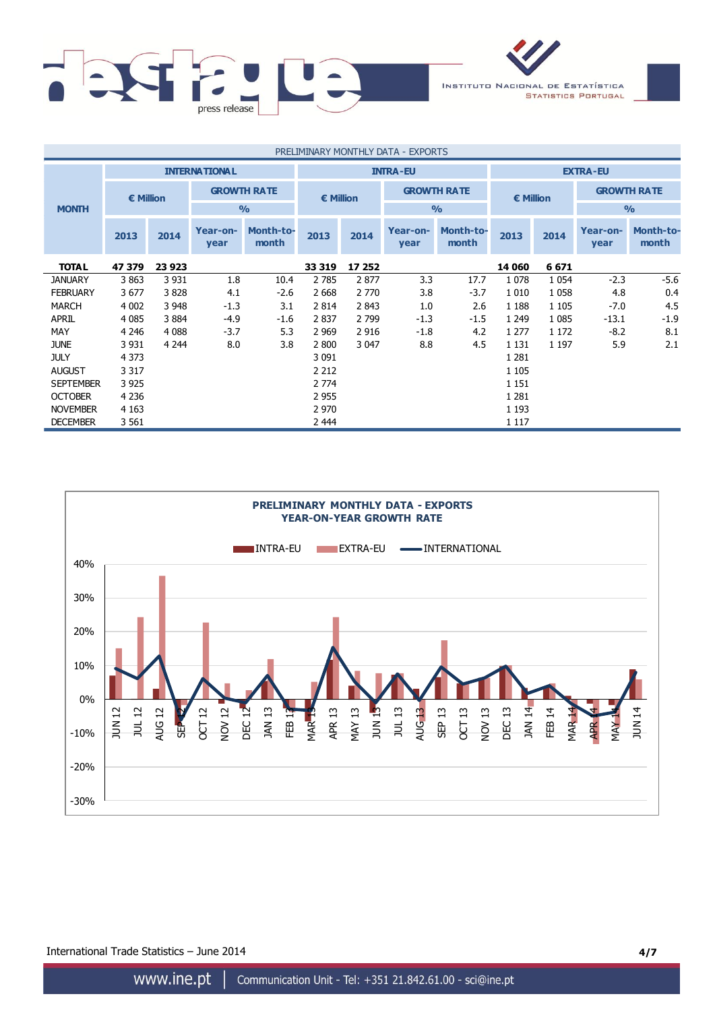

| PRELIMINARY MONTHLY DATA - EXPORTS |                                         |         |                    |                    |           |                 |                  |                    |               |         |                  |                           |                    |  |                    |  |  |                    |
|------------------------------------|-----------------------------------------|---------|--------------------|--------------------|-----------|-----------------|------------------|--------------------|---------------|---------|------------------|---------------------------|--------------------|--|--------------------|--|--|--------------------|
|                                    | <b>INTERNATIONAL</b><br><b>INTRA-EU</b> |         |                    |                    |           | <b>EXTRA-EU</b> |                  |                    |               |         |                  |                           |                    |  |                    |  |  |                    |
|                                    | € Million                               |         | <b>GROWTH RATE</b> |                    | € Million |                 |                  |                    |               |         |                  |                           | <b>GROWTH RATE</b> |  | $\epsilon$ Million |  |  | <b>GROWTH RATE</b> |
| <b>MONTH</b>                       |                                         |         |                    | $\frac{0}{0}$      |           |                 |                  | O/2                | $\frac{0}{0}$ |         |                  |                           |                    |  |                    |  |  |                    |
|                                    | 2013                                    | 2014    | Year-on-<br>year   | Month-to-<br>month | 2013      | 2014            | Year-on-<br>year | Month-to-<br>month | 2013          | 2014    | Year-on-<br>year | <b>Month-to-</b><br>month |                    |  |                    |  |  |                    |
| <b>TOTAL</b>                       | 47 379                                  | 23 9 23 |                    |                    | 33 319    | 17 252          |                  |                    | 14 060        | 6 6 7 1 |                  |                           |                    |  |                    |  |  |                    |
| <b>JANUARY</b>                     | 3 8 6 3                                 | 3 9 3 1 | 1.8                | 10.4               | 2 7 8 5   | 2877            | 3.3              | 17.7               | 1078          | 1 0 5 4 | $-2.3$           | $-5.6$                    |                    |  |                    |  |  |                    |
| <b>FEBRUARY</b>                    | 3677                                    | 3828    | 4.1                | $-2.6$             | 2 6 6 8   | 2 7 7 0         | 3.8              | $-3.7$             | 1 0 1 0       | 1 0 5 8 | 4.8              | 0.4                       |                    |  |                    |  |  |                    |
| <b>MARCH</b>                       | 4 0 0 2                                 | 3 9 4 8 | $-1.3$             | 3.1                | 2 8 1 4   | 2 8 4 3         | 1.0              | 2.6                | 1 1 8 8       | 1 1 0 5 | $-7.0$           | 4.5                       |                    |  |                    |  |  |                    |
| <b>APRIL</b>                       | 4 0 8 5                                 | 3884    | $-4.9$             | $-1.6$             | 2837      | 2 7 9 9         | $-1.3$           | $-1.5$             | 1 2 4 9       | 1 0 8 5 | $-13.1$          | $-1.9$                    |                    |  |                    |  |  |                    |
| MAY                                | 4 2 4 6                                 | 4 0 8 8 | $-3.7$             | 5.3                | 2 9 6 9   | 2 9 1 6         | $-1.8$           | 4.2                | 1 2 7 7       | 1 1 7 2 | $-8.2$           | 8.1                       |                    |  |                    |  |  |                    |
| <b>JUNE</b>                        | 3 9 3 1                                 | 4 2 4 4 | 8.0                | 3.8                | 2 800     | 3 0 4 7         | 8.8              | 4.5                | 1 1 3 1       | 1 1 9 7 | 5.9              | 2.1                       |                    |  |                    |  |  |                    |
| <b>JULY</b>                        | 4 3 7 3                                 |         |                    |                    | 3 0 9 1   |                 |                  |                    | 1 2 8 1       |         |                  |                           |                    |  |                    |  |  |                    |
| <b>AUGUST</b>                      | 3 3 1 7                                 |         |                    |                    | 2 2 1 2   |                 |                  |                    | 1 1 0 5       |         |                  |                           |                    |  |                    |  |  |                    |
| <b>SEPTEMBER</b>                   | 3 9 2 5                                 |         |                    |                    | 2 7 7 4   |                 |                  |                    | 1 1 5 1       |         |                  |                           |                    |  |                    |  |  |                    |
| <b>OCTOBER</b>                     | 4 2 3 6                                 |         |                    |                    | 2 9 5 5   |                 |                  |                    | 1 2 8 1       |         |                  |                           |                    |  |                    |  |  |                    |
| <b>NOVEMBER</b>                    | 4 1 6 3                                 |         |                    |                    | 2 9 7 0   |                 |                  |                    | 1 1 9 3       |         |                  |                           |                    |  |                    |  |  |                    |
| <b>DECEMBER</b>                    | 3 5 6 1                                 |         |                    |                    | 2 4 4 4   |                 |                  |                    | 1 1 1 7       |         |                  |                           |                    |  |                    |  |  |                    |



International Trade Statistics – June 2014 **4/7**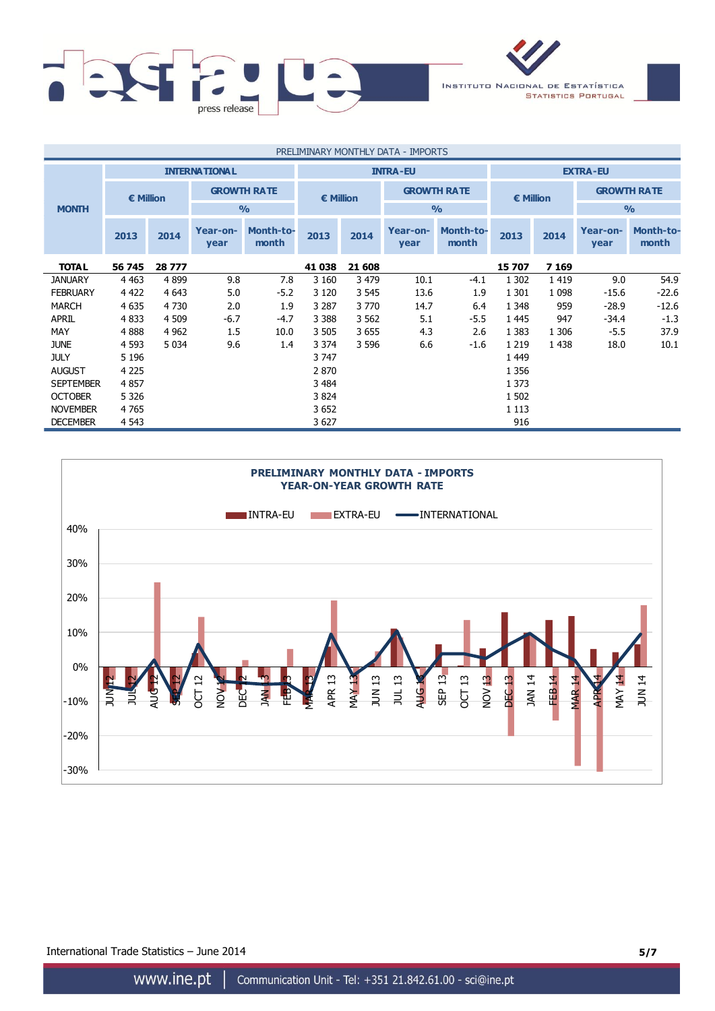

| PRELIMINARY MONTHLY DATA - IMPORTS |                                         |         |                    |                           |                                 |                 |                  |                           |         |           |                  |                           |                    |
|------------------------------------|-----------------------------------------|---------|--------------------|---------------------------|---------------------------------|-----------------|------------------|---------------------------|---------|-----------|------------------|---------------------------|--------------------|
|                                    | <b>INTERNATIONAL</b><br><b>INTRA-EU</b> |         |                    |                           |                                 | <b>EXTRA-EU</b> |                  |                           |         |           |                  |                           |                    |
|                                    | € Million                               |         | <b>GROWTH RATE</b> |                           | <b>GROWTH RATE</b><br>€ Million |                 |                  |                           |         | € Million |                  |                           | <b>GROWTH RATE</b> |
| <b>MONTH</b>                       |                                         |         |                    | $\frac{0}{0}$             |                                 |                 |                  | $\frac{0}{0}$             |         |           | $\frac{0}{0}$    |                           |                    |
|                                    | 2013                                    | 2014    | Year-on-<br>year   | <b>Month-to-</b><br>month | 2013                            | 2014            | Year-on-<br>year | <b>Month-to-</b><br>month | 2013    | 2014      | Year-on-<br>year | <b>Month-to-</b><br>month |                    |
| <b>TOTAL</b>                       | 56 745                                  | 28 777  |                    |                           | 41 038                          | 21 608          |                  |                           | 15 707  | 7 1 6 9   |                  |                           |                    |
| <b>JANUARY</b>                     | 4 4 6 3                                 | 4899    | 9.8                | 7.8                       | 3 1 6 0                         | 3 4 7 9         | 10.1             | $-4.1$                    | 1 3 0 2 | 1419      | 9.0              | 54.9                      |                    |
| <b>FEBRUARY</b>                    | 4 4 2 2                                 | 4 6 4 3 | 5.0                | $-5.2$                    | 3 1 2 0                         | 3 5 4 5         | 13.6             | 1.9                       | 1 3 0 1 | 1 0 9 8   | $-15.6$          | $-22.6$                   |                    |
| <b>MARCH</b>                       | 4 6 3 5                                 | 4 7 3 0 | 2.0                | 1.9                       | 3 2 8 7                         | 3 7 7 0         | 14.7             | 6.4                       | 1 3 4 8 | 959       | $-28.9$          | $-12.6$                   |                    |
| <b>APRIL</b>                       | 4 8 3 3                                 | 4 5 0 9 | $-6.7$             | $-4.7$                    | 3 3 8 8                         | 3 5 6 2         | 5.1              | $-5.5$                    | 1445    | 947       | -34.4            | $-1.3$                    |                    |
| MAY                                | 4888                                    | 4 9 6 2 | 1.5                | 10.0                      | 3 5 0 5                         | 3 6 5 5         | 4.3              | 2.6                       | 1 3 8 3 | 1 3 0 6   | $-5.5$           | 37.9                      |                    |
| <b>JUNE</b>                        | 4 5 9 3                                 | 5 0 3 4 | 9.6                | 1.4                       | 3 3 7 4                         | 3 5 9 6         | 6.6              | $-1.6$                    | 1 2 1 9 | 1 4 3 8   | 18.0             | 10.1                      |                    |
| <b>JULY</b>                        | 5 1 9 6                                 |         |                    |                           | 3 747                           |                 |                  |                           | 1 4 4 9 |           |                  |                           |                    |
| <b>AUGUST</b>                      | 4 2 2 5                                 |         |                    |                           | 2 870                           |                 |                  |                           | 1 3 5 6 |           |                  |                           |                    |
| <b>SEPTEMBER</b>                   | 4857                                    |         |                    |                           | 3 4 8 4                         |                 |                  |                           | 1 3 7 3 |           |                  |                           |                    |
| <b>OCTOBER</b>                     | 5 3 2 6                                 |         |                    |                           | 3 8 24                          |                 |                  |                           | 1 5 0 2 |           |                  |                           |                    |
| <b>NOVEMBER</b>                    | 4 7 6 5                                 |         |                    |                           | 3 6 5 2                         |                 |                  |                           | 1 1 1 3 |           |                  |                           |                    |
| <b>DECEMBER</b>                    | 4 5 4 3                                 |         |                    |                           | 3 6 27                          |                 |                  |                           | 916     |           |                  |                           |                    |



International Trade Statistics – June 2014 **5/7**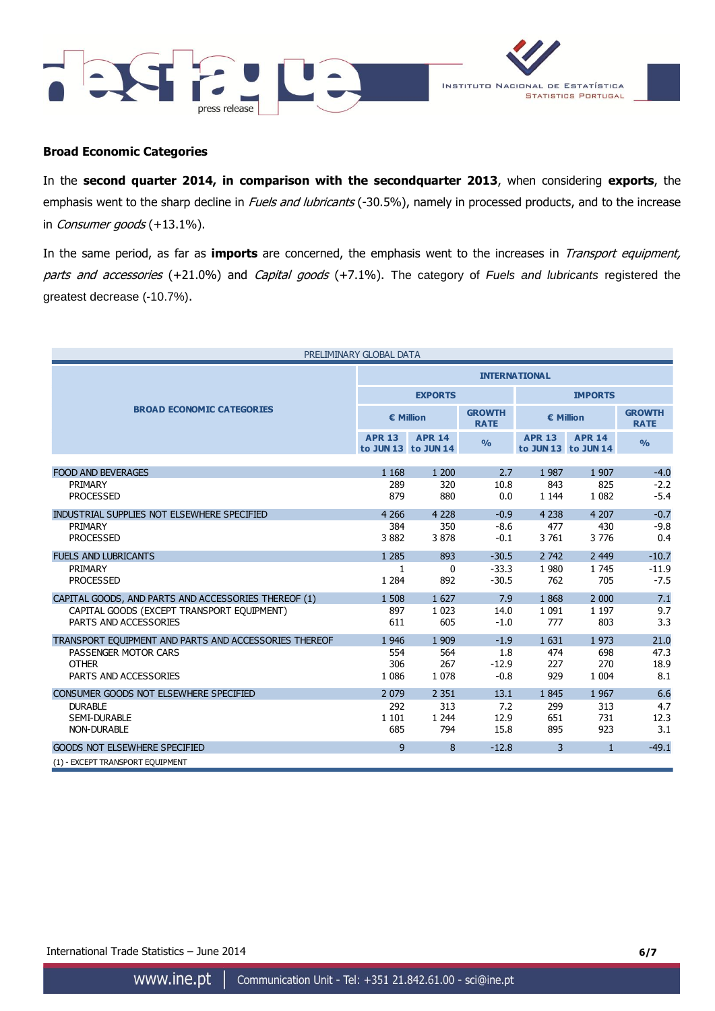



### **Broad Economic Categories**

In the **second quarter 2014, in comparison with the secondquarter 2013**, when considering **exports**, the emphasis went to the sharp decline in Fuels and lubricants (-30.5%), namely in processed products, and to the increase in Consumer goods (+13.1%).

In the same period, as far as **imports** are concerned, the emphasis went to the increases in Transport equipment, parts and accessories (+21.0%) and Capital goods (+7.1%). The category of *Fuels and lubricants* registered the greatest decrease (-10.7%).

| PRELIMINARY GLOBAL DATA                               |                      |                                      |                              |                |                                      |                              |  |  |
|-------------------------------------------------------|----------------------|--------------------------------------|------------------------------|----------------|--------------------------------------|------------------------------|--|--|
|                                                       | <b>INTERNATIONAL</b> |                                      |                              |                |                                      |                              |  |  |
|                                                       |                      | <b>EXPORTS</b>                       |                              | <b>IMPORTS</b> |                                      |                              |  |  |
| <b>BROAD ECONOMIC CATEGORIES</b>                      | € Million            |                                      | <b>GROWTH</b><br><b>RATE</b> |                | $\epsilon$ Million                   | <b>GROWTH</b><br><b>RATE</b> |  |  |
|                                                       | <b>APR 13</b>        | <b>APR 14</b><br>to JUN 13 to JUN 14 | O/2                          | <b>APR 13</b>  | <b>APR 14</b><br>to JUN 13 to JUN 14 | O/2                          |  |  |
| <b>FOOD AND BEVERAGES</b>                             | 1 1 6 8              | 1 200                                | 2.7                          | 1987           | 1 9 0 7                              | $-4.0$                       |  |  |
| PRIMARY                                               | 289                  | 320                                  | 10.8                         | 843            | 825                                  | $-2.2$                       |  |  |
| <b>PROCESSED</b>                                      | 879                  | 880                                  | 0.0                          | 1 1 4 4        | 1 0 8 2                              | $-5.4$                       |  |  |
| INDUSTRIAL SUPPLIES NOT ELSEWHERE SPECIFIED           | 4 2 6 6              | 4 2 2 8                              | $-0.9$                       | 4 2 3 8        | 4 2 0 7                              | $-0.7$                       |  |  |
| PRIMARY                                               | 384                  | 350                                  | $-8.6$                       | 477            | 430                                  | $-9.8$                       |  |  |
| <b>PROCESSED</b>                                      | 3882                 | 3878                                 | $-0.1$                       | 3 7 6 1        | 3776                                 | 0.4                          |  |  |
| <b>FUELS AND LUBRICANTS</b>                           | 1 2 8 5              | 893                                  | $-30.5$                      | 2 7 4 2        | 2 4 4 9                              | $-10.7$                      |  |  |
| PRIMARY                                               | 1                    | $\mathbf{0}$                         | $-33.3$                      | 1 9 8 0        | 1745                                 | $-11.9$                      |  |  |
| <b>PROCESSED</b>                                      | 1 2 8 4              | 892                                  | $-30.5$                      | 762            | 705                                  | $-7.5$                       |  |  |
| CAPITAL GOODS, AND PARTS AND ACCESSORIES THEREOF (1)  | 1 508                | 1 627                                | 7.9                          | 1868           | 2 0 0 0                              | 7.1                          |  |  |
| CAPITAL GOODS (EXCEPT TRANSPORT EQUIPMENT)            | 897                  | 1 0 2 3                              | 14.0                         | 1 0 9 1        | 1 1 9 7                              | 9.7                          |  |  |
| PARTS AND ACCESSORIES                                 | 611                  | 605                                  | $-1.0$                       | 777            | 803                                  | 3.3                          |  |  |
| TRANSPORT EOUIPMENT AND PARTS AND ACCESSORIES THEREOF | 1 9 4 6              | 1 9 0 9                              | $-1.9$                       | 1631           | 1973                                 | 21.0                         |  |  |
| PASSENGER MOTOR CARS                                  | 554                  | 564                                  | 1.8                          | 474            | 698                                  | 47.3                         |  |  |
| <b>OTHER</b>                                          | 306                  | 267                                  | $-12.9$                      | 227            | 270                                  | 18.9                         |  |  |
| PARTS AND ACCESSORIES                                 | 1 0 8 6              | 1 0 7 8                              | $-0.8$                       | 929            | 1 0 0 4                              | 8.1                          |  |  |
| CONSUMER GOODS NOT ELSEWHERE SPECIFIED                | 2 0 7 9              | 2 3 5 1                              | 13.1                         | 1845           | 1 9 6 7                              | 6.6                          |  |  |
| <b>DURABLE</b>                                        | 292                  | 313                                  | 7.2                          | 299            | 313                                  | 4.7                          |  |  |
| <b>SEMI-DURABLE</b>                                   | 1 1 0 1              | 1 2 4 4                              | 12.9                         | 651            | 731                                  | 12.3                         |  |  |
| <b>NON-DURABLE</b>                                    | 685                  | 794                                  | 15.8                         | 895            | 923                                  | 3.1                          |  |  |
| <b>GOODS NOT ELSEWHERE SPECIFIED</b>                  | 9                    | 8                                    | $-12.8$                      | 3              | $\mathbf{1}$                         | $-49.1$                      |  |  |
| (1) - EXCEPT TRANSPORT EQUIPMENT                      |                      |                                      |                              |                |                                      |                              |  |  |